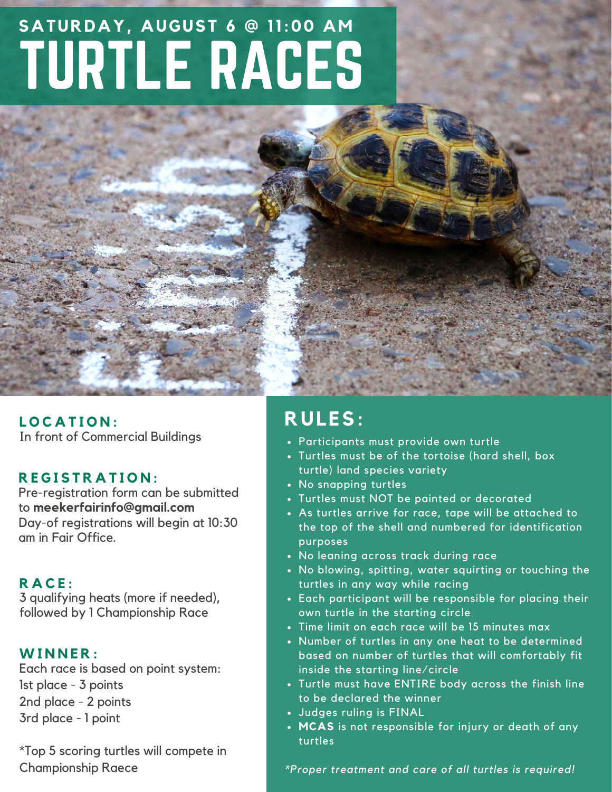## TURTLE RACES **SATURDAY, AUGUST 6 @ 11:00 AM**

In front of Commercial Buildings **L O C A T I O N :**

#### **R E G I S T R A T I O N :**

Pre-registration form can be submitted to **meekerfairinfo@gmail.com** Day-of registrations will begin at 10:30 am in Fair Office.

#### **R A C E :**

3 qualifying heats (more if needed), followed by 1 Championship Race

#### **W I N N E R :**

Each race is based on point system: 1st place - 3 points 2nd place - 2 points 3rd place - 1 point

\*Top 5 scoring turtles will compete in Championship Raece

### **RULES:**

- Participants must provide own turtle
- Turtles must be of the tortoise (hard shell, box turtle) land species variety
- No snapping turtles
- Turtles must NOT be painted or decorated
- As turtles arrive for race, tape will be attached to the top of the shell and numbered for identification purposes
- No leaning across track during race
- . No blowing, spitting, water squirting or touching the turtles in any way while racing
- Each participant will be responsible for placing their own turtle in the starting circle
- Time limit on each race will be 15 minutes max
- Number of turtles in any one heat to be determined based on number of turtles that will comfortably fit inside the starting line/circle
- Turtle must have ENTIRE body across the finish line to be declared the winner
- Judges ruling is FINAL
- **MCAS** is not responsible for injury or death of any turtles

*\*Proper treatment and care of all turtles is required!*